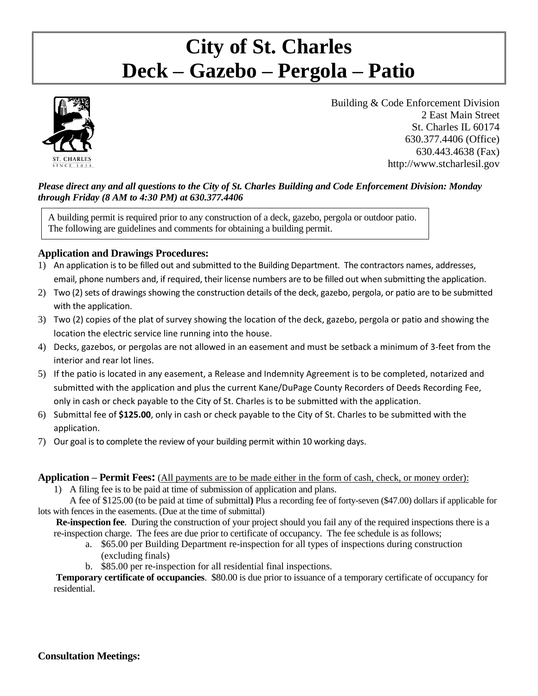# **City of St. Charles Deck – Gazebo – Pergola – Patio**



Building & Code Enforcement Division 2 East Main Street St. Charles IL 60174 630.377.4406 (Office) 630.443.4638 (Fax) http://www.stcharlesil.gov

#### *Please direct any and all questions to the City of St. Charles Building and Code Enforcement Division: Monday through Friday (8 AM to 4:30 PM) at 630.377.4406*

A building permit is required prior to any construction of a deck, gazebo, pergola or outdoor patio. The following are guidelines and comments for obtaining a building permit.

## **Application and Drawings Procedures:**

- 1) An application is to be filled out and submitted to the Building Department. The contractors names, addresses, email, phone numbers and, if required, their license numbers are to be filled out when submitting the application.
- 2) Two (2) sets of drawings showing the construction details of the deck, gazebo, pergola, or patio are to be submitted with the application.
- 3) Two (2) copies of the plat of survey showing the location of the deck, gazebo, pergola or patio and showing the location the electric service line running into the house.
- 4) Decks, gazebos, or pergolas are not allowed in an easement and must be setback a minimum of 3-feet from the interior and rear lot lines.
- 5) If the patio is located in any easement, a Release and Indemnity Agreement is to be completed, notarized and submitted with the application and plus the current Kane/DuPage County Recorders of Deeds Recording Fee, only in cash or check payable to the City of St. Charles is to be submitted with the application.
- 6) Submittal fee of **\$125.00**, only in cash or check payable to the City of St. Charles to be submitted with the application.
- 7) Our goal is to complete the review of your building permit within 10 working days.

**Application – Permit Fees:** (All payments are to be made either in the form of cash, check, or money order):

1) A filing fee is to be paid at time of submission of application and plans.

A fee of \$125.00 (to be paid at time of submittal**)** Plus a recording fee of forty-seven (\$47.00) dollars if applicable for lots with fences in the easements. (Due at the time of submittal)

**Re-inspection fee**. During the construction of your project should you fail any of the required inspections there is a re-inspection charge. The fees are due prior to certificate of occupancy. The fee schedule is as follows;

- a. \$65.00 per Building Department re-inspection for all types of inspections during construction (excluding finals)
- b. \$85.00 per re-inspection for all residential final inspections.

**Temporary certificate of occupancies**. \$80.00 is due prior to issuance of a temporary certificate of occupancy for residential.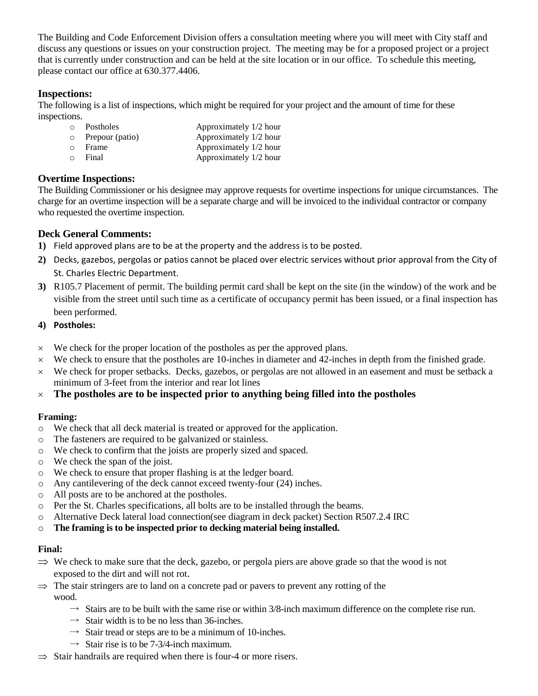The Building and Code Enforcement Division offers a consultation meeting where you will meet with City staff and discuss any questions or issues on your construction project. The meeting may be for a proposed project or a project that is currently under construction and can be held at the site location or in our office. To schedule this meeting, please contact our office at 630.377.4406.

## **Inspections:**

The following is a list of inspections, which might be required for your project and the amount of time for these inspections.

| $\circ$ | Postholes               | Approximately 1/2 hour |
|---------|-------------------------|------------------------|
|         | $\circ$ Prepour (patio) | Approximately 1/2 hour |
| $\circ$ | Frame                   | Approximately 1/2 hour |
| $\circ$ | Final                   | Approximately 1/2 hour |

# **Overtime Inspections:**

The Building Commissioner or his designee may approve requests for overtime inspections for unique circumstances. The charge for an overtime inspection will be a separate charge and will be invoiced to the individual contractor or company who requested the overtime inspection.

# **Deck General Comments:**

- **1)** Field approved plans are to be at the property and the address is to be posted.
- **2)** Decks, gazebos, pergolas or patios cannot be placed over electric services without prior approval from the City of St. Charles Electric Department.
- **3)** R105.7 Placement of permit. The building permit card shall be kept on the site (in the window) of the work and be visible from the street until such time as a certificate of occupancy permit has been issued, or a final inspection has been performed.

#### **4) Postholes:**

- $\times$  We check for the proper location of the postholes as per the approved plans.
- $\times$  We check to ensure that the postholes are 10-inches in diameter and 42-inches in depth from the finished grade.
- $\times$  We check for proper setbacks. Decks, gazebos, or pergolas are not allowed in an easement and must be setback a minimum of 3-feet from the interior and rear lot lines
- **The postholes are to be inspected prior to anything being filled into the postholes**

## **Framing:**

- o We check that all deck material is treated or approved for the application.
- o The fasteners are required to be galvanized or stainless.
- o We check to confirm that the joists are properly sized and spaced.
- o We check the span of the joist.
- o We check to ensure that proper flashing is at the ledger board.
- o Any cantilevering of the deck cannot exceed twenty-four (24) inches.
- o All posts are to be anchored at the postholes.
- o Per the St. Charles specifications, all bolts are to be installed through the beams.
- o Alternative Deck lateral load connection(see diagram in deck packet) Section R507.2.4 IRC
- o **The framing is to be inspected prior to decking material being installed.**

#### **Final:**

- $\Rightarrow$  We check to make sure that the deck, gazebo, or pergola piers are above grade so that the wood is not exposed to the dirt and will not rot.
- $\Rightarrow$  The stair stringers are to land on a concrete pad or pavers to prevent any rotting of the wood.
	- $\rightarrow$  Stairs are to be built with the same rise or within 3/8-inch maximum difference on the complete rise run.
	- $\rightarrow$  Stair width is to be no less than 36-inches.
	- $\rightarrow$  Stair tread or steps are to be a minimum of 10-inches.
	- $\rightarrow$  Stair rise is to be 7-3/4-inch maximum.
- $\Rightarrow$  Stair handrails are required when there is four-4 or more risers.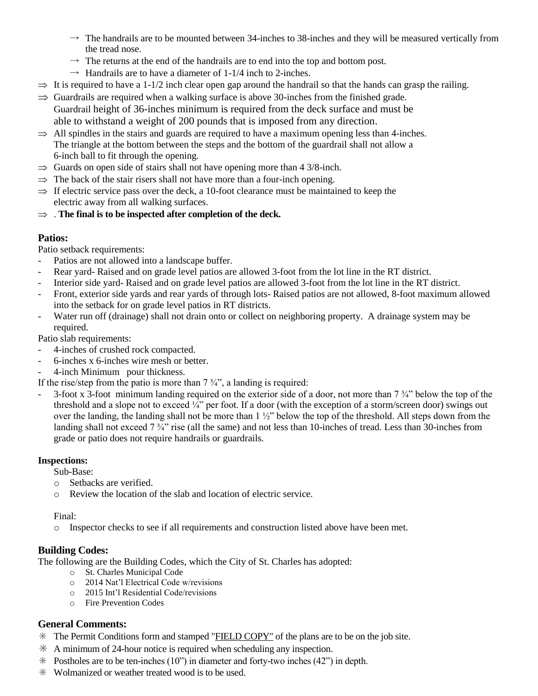- $\rightarrow$  The handrails are to be mounted between 34-inches to 38-inches and they will be measured vertically from the tread nose.
- $\rightarrow$  The returns at the end of the handrails are to end into the top and bottom post.
- $\rightarrow$  Handrails are to have a diameter of 1-1/4 inch to 2-inches.
- $\Rightarrow$  It is required to have a 1-1/2 inch clear open gap around the handrail so that the hands can grasp the railing.
- $\Rightarrow$  Guardrails are required when a walking surface is above 30-inches from the finished grade. Guardrail height of 36-inches minimum is required from the deck surface and must be able to withstand a weight of 200 pounds that is imposed from any direction.
- $\Rightarrow$  All spindles in the stairs and guards are required to have a maximum opening less than 4-inches. The triangle at the bottom between the steps and the bottom of the guardrail shall not allow a 6-inch ball to fit through the opening.
- $\Rightarrow$  Guards on open side of stairs shall not have opening more than 4 3/8-inch.
- $\Rightarrow$  The back of the stair risers shall not have more than a four-inch opening.
- $\Rightarrow$  If electric service pass over the deck, a 10-foot clearance must be maintained to keep the electric away from all walking surfaces.
- $\Rightarrow$  . The final is to be inspected after completion of the deck.

## **Patios:**

Patio setback requirements:

- Patios are not allowed into a landscape buffer.
- Rear yard- Raised and on grade level patios are allowed 3-foot from the lot line in the RT district.
- Interior side yard- Raised and on grade level patios are allowed 3-foot from the lot line in the RT district.
- Front, exterior side yards and rear yards of through lots- Raised patios are not allowed, 8-foot maximum allowed into the setback for on grade level patios in RT districts.
- Water run off (drainage) shall not drain onto or collect on neighboring property. A drainage system may be required.

Patio slab requirements:

- 4-inches of crushed rock compacted.
- 6-inches x 6-inches wire mesh or better.
- 4-inch Minimum pour thickness.

If the rise/step from the patio is more than  $7\frac{3}{4}$ , a landing is required:

- 3-foot x 3-foot minimum landing required on the exterior side of a door, not more than 7 ¾" below the top of the threshold and a slope not to exceed ¼" per foot. If a door (with the exception of a storm/screen door) swings out over the landing, the landing shall not be more than 1 ½" below the top of the threshold. All steps down from the landing shall not exceed 7  $\frac{3}{4}$ " rise (all the same) and not less than 10-inches of tread. Less than 30-inches from grade or patio does not require handrails or guardrails.

## **Inspections:**

Sub-Base:

- o Setbacks are verified.
- o Review the location of the slab and location of electric service.

#### Final:

o Inspector checks to see if all requirements and construction listed above have been met.

## **Building Codes:**

The following are the Building Codes, which the City of St. Charles has adopted:

- o St. Charles Municipal Code
- o 2014 Nat'l Electrical Code w/revisions
- o 2015 Int'l Residential Code/revisions
- o Fire Prevention Codes

## **General Comments:**

- $*$  The Permit Conditions form and stamped "FIELD COPY" of the plans are to be on the job site.
- $*$  A minimum of 24-hour notice is required when scheduling any inspection.
- ✳ Postholes are to be ten-inches (10") in diameter and forty-two inches (42") in depth.
- ✳ Wolmanized or weather treated wood is to be used.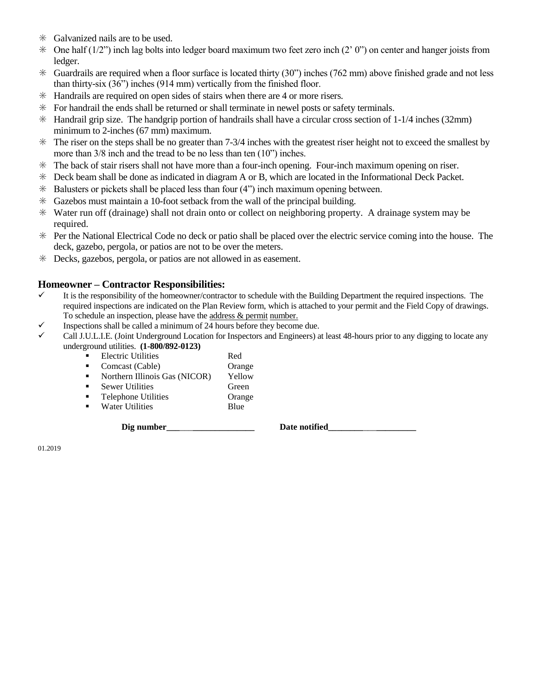- ✳ Galvanized nails are to be used.
- $\ast$  One half (1/2") inch lag bolts into ledger board maximum two feet zero inch (2' 0") on center and hanger joists from ledger.
- $\ast$  Guardrails are required when a floor surface is located thirty (30") inches (762 mm) above finished grade and not less than thirty-six (36") inches (914 mm) vertically from the finished floor.
- ✳ Handrails are required on open sides of stairs when there are 4 or more risers.
- $*$  For handrail the ends shall be returned or shall terminate in newel posts or safety terminals.
- $*$  Handrail grip size. The handgrip portion of handrails shall have a circular cross section of 1-1/4 inches (32mm) minimum to 2-inches (67 mm) maximum.
- $*$  The riser on the steps shall be no greater than 7-3/4 inches with the greatest riser height not to exceed the smallest by more than 3/8 inch and the tread to be no less than ten (10") inches.
- ✳ The back of stair risers shall not have more than a four-inch opening. Four-inch maximum opening on riser.
- ✳ Deck beam shall be done as indicated in diagram A or B, which are located in the Informational Deck Packet.
- $*$  Balusters or pickets shall be placed less than four (4") inch maximum opening between.
- ✳ Gazebos must maintain a 10-foot setback from the wall of the principal building.
- ✳ Water run off (drainage) shall not drain onto or collect on neighboring property. A drainage system may be required.
- ✳ Per the National Electrical Code no deck or patio shall be placed over the electric service coming into the house. The deck, gazebo, pergola, or patios are not to be over the meters.
- ✳ Decks, gazebos, pergola, or patios are not allowed in as easement.

#### **Homeowner – Contractor Responsibilities:**

- It is the responsibility of the homeowner/contractor to schedule with the Building Department the required inspections. The required inspections are indicated on the Plan Review form, which is attached to your permit and the Field Copy of drawings. To schedule an inspection, please have the address & permit number.
- $\checkmark$  Inspections shall be called a minimum of 24 hours before they become due.<br> $\checkmark$  Call IIII.IE (Joint Underground Location for Inspectors and Engineers) a
- ✓ Call J.U.L.I.E. (Joint Underground Location for Inspectors and Engineers) at least 48-hours prior to any digging to locate any underground utilities. **(1-800/892-0123)**

|   | <b>Electric Utilities</b>     | Red    |
|---|-------------------------------|--------|
|   | Comcast (Cable)               | Orange |
|   | Northern Illinois Gas (NICOR) | Yellow |
| ٠ | <b>Sewer Utilities</b>        | Green  |
| п | <b>Telephone Utilities</b>    | Orange |
| ▪ | <b>Water Utilities</b>        | Blue   |
|   |                               |        |

Dig number **Date notified** 

01.2019